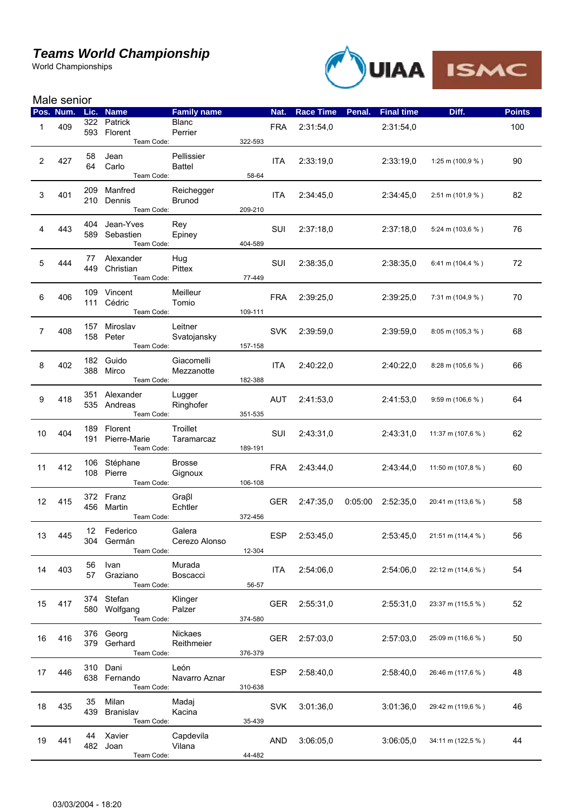## *Teams World Championship*

World Championships



| Male senior           |           |           |                              |                         |         |            |                  |        |                     |                                    |               |
|-----------------------|-----------|-----------|------------------------------|-------------------------|---------|------------|------------------|--------|---------------------|------------------------------------|---------------|
|                       | Pos. Num. | Lic.      | <b>Name</b>                  | <b>Family name</b>      |         | Nat.       | <b>Race Time</b> | Penal. | <b>Final time</b>   | Diff.                              | <b>Points</b> |
| 1                     | 409       |           | 322 Patrick<br>593 Florent   | <b>Blanc</b><br>Perrier |         | <b>FRA</b> | 2:31:54,0        |        | 2:31:54,0           |                                    | 100           |
|                       |           |           | Team Code:                   |                         | 322-593 |            |                  |        |                     |                                    |               |
|                       |           | 58        | Jean                         | Pellissier              |         |            |                  |        |                     |                                    |               |
| $\mathbf{2}^{\prime}$ | 427       | 64        | Carlo                        | <b>Battel</b>           |         | <b>ITA</b> | 2:33:19,0        |        | 2:33:19,0           | 1:25 m (100,9 $%$ )                | 90            |
|                       |           |           | Team Code:                   |                         | 58-64   |            |                  |        |                     |                                    |               |
| 3                     | 401       | 209       | Manfred                      | Reichegger              |         | <b>ITA</b> | 2:34:45,0        |        | 2:34:45,0           | $2:51 \text{ m} (101,9 \text{ %})$ | 82            |
|                       |           |           | 210 Dennis                   | <b>Brunod</b>           |         |            |                  |        |                     |                                    |               |
|                       |           |           | Team Code:                   |                         | 209-210 |            |                  |        |                     |                                    |               |
| 4                     | 443       | 404       | Jean-Yves                    | Rey                     |         | SUI        | 2:37:18.0        |        | 2:37:18,0           | 5:24 m (103,6 $%$ )                | 76            |
|                       |           | 589       | Sebastien<br>Team Code:      | Epiney                  | 404-589 |            |                  |        |                     |                                    |               |
|                       |           |           |                              |                         |         |            |                  |        |                     |                                    |               |
| 5                     | 444       | 77<br>449 | Alexander<br>Christian       | Hug<br>Pittex           |         | SUI        | 2:38:35,0        |        | 2:38:35,0           | 6:41 m (104,4 $%$ )                | 72            |
|                       |           |           | Team Code:                   |                         | 77-449  |            |                  |        |                     |                                    |               |
|                       |           |           | 109 Vincent                  | Meilleur                |         |            |                  |        |                     |                                    |               |
| 6                     | 406       |           | 111 Cédric                   | Tomio                   |         | <b>FRA</b> | 2:39:25,0        |        | 2:39:25,0           | 7:31 m (104,9 $%$ )                | 70            |
|                       |           |           | Team Code:                   |                         | 109-111 |            |                  |        |                     |                                    |               |
| 7                     |           | 157       | Miroslav                     | Leitner                 |         | <b>SVK</b> |                  |        |                     |                                    |               |
|                       | 408       |           | 158 Peter                    | Svatojansky             |         |            | 2:39:59,0        |        | 2:39.59,0           | $8:05 \text{ m} (105,3 \text{ %})$ | 68            |
|                       |           |           | Team Code:                   |                         | 157-158 |            |                  |        |                     |                                    |               |
| 8                     | 402       | 182       | Guido                        | Giacomelli              |         | <b>ITA</b> | 2:40:22.0        |        | 2:40.22,0           | 8:28 m (105,6 %)                   | 66            |
|                       |           |           | 388 Mirco<br>Team Code:      | Mezzanotte              | 182-388 |            |                  |        |                     |                                    |               |
|                       |           |           |                              |                         |         |            |                  |        |                     |                                    |               |
| 9                     | 418       |           | 351 Alexander<br>535 Andreas | Lugger<br>Ringhofer     |         | <b>AUT</b> | 2:41:53,0        |        | 2:41:53.0           | $9:59 \text{ m} (106,6 \text{ %})$ | 64            |
|                       |           |           | Team Code:                   |                         | 351-535 |            |                  |        |                     |                                    |               |
|                       |           | 189       | Florent                      | Troillet                |         |            |                  |        |                     |                                    |               |
| 10                    | 404       |           | 191 Pierre-Marie             | Taramarcaz              |         | SUI        | 2:43:31,0        |        | 2:43:31,0           | 11:37 m (107,6 %)                  | 62            |
|                       |           |           | Team Code:                   |                         | 189-191 |            |                  |        |                     |                                    |               |
|                       |           |           | 106 Stéphane                 | <b>Brosse</b>           |         |            |                  |        |                     |                                    |               |
| 11                    | 412       |           | 108 Pierre                   | Gignoux                 |         | <b>FRA</b> | 2:43:44,0        |        | 2.43:44.0           | 11:50 m (107,8 %)                  | 60            |
|                       |           |           | Team Code:                   |                         | 106-108 |            |                  |        |                     |                                    |               |
| 12 <sup>°</sup>       | 415       |           | 372 Franz                    | Graßl                   |         | <b>GER</b> | 2:47:35.0        |        | $0.05:00$ 2:52:35.0 | 20:41 m (113,6 %)                  | 58            |
|                       |           |           | 456 Martin<br>Team Code:     | Echtler                 | 372-456 |            |                  |        |                     |                                    |               |
|                       |           |           |                              |                         |         |            |                  |        |                     |                                    |               |
| 13                    | 445       | 12<br>304 | Federico<br>Germán           | Galera<br>Cerezo Alonso |         | <b>ESP</b> | 2:53:45,0        |        | 2:53:45,0           | 21:51 m (114,4 %)                  | 56            |
|                       |           |           | Team Code:                   |                         | 12-304  |            |                  |        |                     |                                    |               |
|                       |           | 56        | Ivan                         | Murada                  |         |            |                  |        |                     |                                    |               |
| 14                    | 403       | 57        | Graziano                     | <b>Boscacci</b>         |         | <b>ITA</b> | 2:54:06,0        |        | 2:54:06,0           | 22:12 m (114,6 %)                  | 54            |
|                       |           |           | Team Code:                   |                         | 56-57   |            |                  |        |                     |                                    |               |
|                       |           |           | 374 Stefan                   | Klinger                 |         |            |                  |        |                     |                                    |               |
| 15                    | 417       |           | 580 Wolfgang                 | Palzer                  |         | <b>GER</b> | 2:55:31,0        |        | 2:55:31,0           | 23:37 m (115,5 %)                  | 52            |
|                       |           |           | Team Code:                   |                         | 374-580 |            |                  |        |                     |                                    |               |
| 16                    | 416       |           | 376 Georg                    | <b>Nickaes</b>          |         | <b>GER</b> | 2:57:03,0        |        | 2:57:03,0           | 25:09 m (116,6 %)                  | 50            |
|                       |           |           | 379 Gerhard                  | Reithmeier              |         |            |                  |        |                     |                                    |               |
|                       |           |           | Team Code:                   |                         | 376-379 |            |                  |        |                     |                                    |               |
| 17                    | 446       |           | 310 Dani<br>638 Fernando     | León                    |         | <b>ESP</b> | 2:58:40,0        |        | 2:58:40,0           | 26:46 m (117,6 %)                  | 48            |
|                       |           |           | Team Code:                   | Navarro Aznar           | 310-638 |            |                  |        |                     |                                    |               |
|                       |           | 35        | Milan                        | Madaj                   |         |            |                  |        |                     |                                    |               |
| 18                    | 435       | 439       | Branislav                    | Kacina                  |         | <b>SVK</b> | 3.01:36,0        |        | 3:01:36,0           | 29:42 m (119,6 %)                  | 46            |
|                       |           |           | Team Code:                   |                         | 35-439  |            |                  |        |                     |                                    |               |
|                       |           | 44        | Xavier                       | Capdevila               |         |            |                  |        |                     |                                    |               |
| 19                    | 441       |           | 482 Joan                     | Vilana                  |         | <b>AND</b> | 3:06:05,0        |        | 3:06:05,0           | 34:11 m (122,5 %)                  | 44            |
|                       |           |           | Team Code:                   |                         | 44-482  |            |                  |        |                     |                                    |               |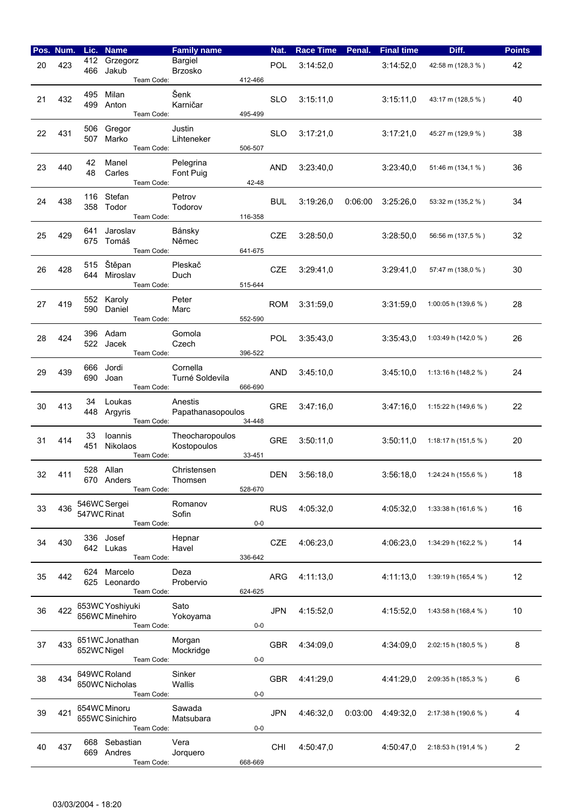|    | Pos. Num. | Lic.        | <b>Name</b>                                     | <b>Family name</b>             |         | Nat.       | <b>Race Time</b> | Penal.  | <b>Final time</b> | Diff.                  | <b>Points</b>  |
|----|-----------|-------------|-------------------------------------------------|--------------------------------|---------|------------|------------------|---------|-------------------|------------------------|----------------|
| 20 | 423       | 412<br>466  | Grzegorz<br>Jakub<br>Team Code:                 | Bargiel<br><b>Brzosko</b>      | 412-466 | POL        | 3:14:52,0        |         | 3:14:52,0         | 42:58 m (128,3 %)      | 42             |
| 21 | 432       | 495         | Milan<br>499 Anton<br>Team Code:                | Šenk<br>Karničar               | 495-499 | <b>SLO</b> | 3:15:11.0        |         | 3:15:11,0         | 43:17 m (128,5 %)      | 40             |
| 22 | 431       | 506<br>507  | Gregor<br>Marko<br>Team Code:                   | Justin<br>Lihteneker           | 506-507 | <b>SLO</b> | 3:17:21,0        |         | 3:17:21,0         | 45:27 m (129,9 %)      | 38             |
| 23 | 440       | 42<br>48    | Manel<br>Carles<br>Team Code:                   | Pelegrina<br>Font Puig         | 42-48   | <b>AND</b> | 3:23:40,0        |         | 3:23:40,0         | 51:46 m (134,1 %)      | 36             |
| 24 | 438       | 116         | Stefan<br>358 Todor<br>Team Code:               | Petrov<br>Todorov              | 116-358 | <b>BUL</b> | 3.19:26,0        | 0.06:00 | 3:25:26,0         | 53:32 m (135,2 %)      | 34             |
| 25 | 429       | 641         | Jaroslav<br>675 Tomáš<br>Team Code:             | Bánsky<br>Němec                | 641-675 | <b>CZE</b> | 3:28:50,0        |         | 3:28:50,0         | 56:56 m (137,5 %)      | 32             |
| 26 | 428       | 515<br>644  | Štěpan<br>Miroslav<br>Team Code:                | Pleskač<br>Duch                | 515-644 | <b>CZE</b> | 3:29:41.0        |         | 3:29:41,0         | 57:47 m (138,0 %)      | 30             |
| 27 | 419       | 552<br>590  | Karoly<br>Daniel<br>Team Code:                  | Peter<br>Marc                  | 552-590 | <b>ROM</b> | 3.31.59,0        |         | 3:31:59,0         | 1:00:05 h (139,6 %)    | 28             |
| 28 | 424       | 396         | Adam<br>522 Jacek<br>Team Code:                 | Gomola<br>Czech                | 396-522 | <b>POL</b> | 3.35.43,0        |         | 3:35:43,0         | 1:03:49 h (142,0 %)    | 26             |
| 29 | 439       | 666<br>690  | Jordi<br>Joan<br>Team Code:                     | Cornella<br>Turné Soldevila    | 666-690 | <b>AND</b> | 3.45:10,0        |         | 3:45:10,0         | 1:13:16 h (148,2 %)    | 24             |
| 30 | 413       | 34          | Loukas<br>448 Argyris<br>Team Code:             | Anestis<br>Papathanasopoulos   | 34-448  | <b>GRE</b> | 3.47:16,0        |         | 3:47:16,0         | 1:15:22 h (149,6 %)    | 22             |
| 31 | 414       | 33<br>451   | Ioannis<br>Nikolaos<br>Team Code:               | Theocharopoulos<br>Kostopoulos | 33-451  | <b>GRE</b> | 3.50:11,0        |         | 3:50:11,0         | 1:18:17 h (151,5 %)    | 20             |
| 32 | 411       | 528         | Allan<br>670 Anders<br>Team Code:               | Christensen<br>Thomsen         | 528-670 | <b>DEN</b> | 3.56.18,0        |         | 3:56:18,0         | 1:24:24 h (155,6 %)    | 18             |
| 33 | 436       | 547WC Rinat | 546WC Sergei<br>Team Code:                      | Romanov<br>Sofin               | $0-0$   | <b>RUS</b> | 4:05:32,0        |         | 4:05:32.0         | 1:33:38 h (161,6 %)    | 16             |
| 34 | 430       |             | 336 Josef<br>642 Lukas<br>Team Code:            | Hepnar<br>Havel                | 336-642 | <b>CZE</b> | 4:06:23.0        |         | 4:06:23,0         | 1:34:29 h (162,2 %)    | 14             |
| 35 | 442       |             | 624 Marcelo<br>625 Leonardo<br>Team Code:       | Deza<br>Probervio              | 624-625 | <b>ARG</b> | 4:11:13,0        |         | 4:11:13,0         | 1:39:19 h (165,4 $%$ ) | 12             |
| 36 | 422       |             | 653WC Yoshiyuki<br>656WC Minehiro<br>Team Code: | Sato<br>Yokoyama               | $0-0$   | <b>JPN</b> | 4:15:52,0        |         | 4:15:52,0         | 1:43:58 h (168,4 %)    | 10             |
| 37 | 433       | 652WC Nigel | 651WC Jonathan<br>Team Code:                    | Morgan<br>Mockridge            | 0-0     | <b>GBR</b> | 4:34:09,0        |         | 4:34:09.0         | 2:02:15 h (180,5 %)    | 8              |
| 38 | 434       |             | 649WC Roland<br>650WC Nicholas<br>Team Code:    | Sinker<br>Wallis               | $0-0$   | <b>GBR</b> | 4:41:29,0        |         | 4:41:29,0         | 2:09:35 h (185,3 %)    | 6              |
| 39 | 421       |             | 654WC Minoru<br>655WC Sinichiro<br>Team Code:   | Sawada<br>Matsubara            | 0-0     | <b>JPN</b> | 4:46:32.0        |         | 0:03:00 4:49:32,0 | 2:17:38 h (190,6 %)    | 4              |
| 40 | 437       |             | 668 Sebastian<br>669 Andres<br>Team Code:       | Vera<br>Jorquero               | 668-669 | <b>CHI</b> | 4:50:47,0        |         | 4:50:47.0         | 2:18:53 h (191,4 %)    | $\overline{2}$ |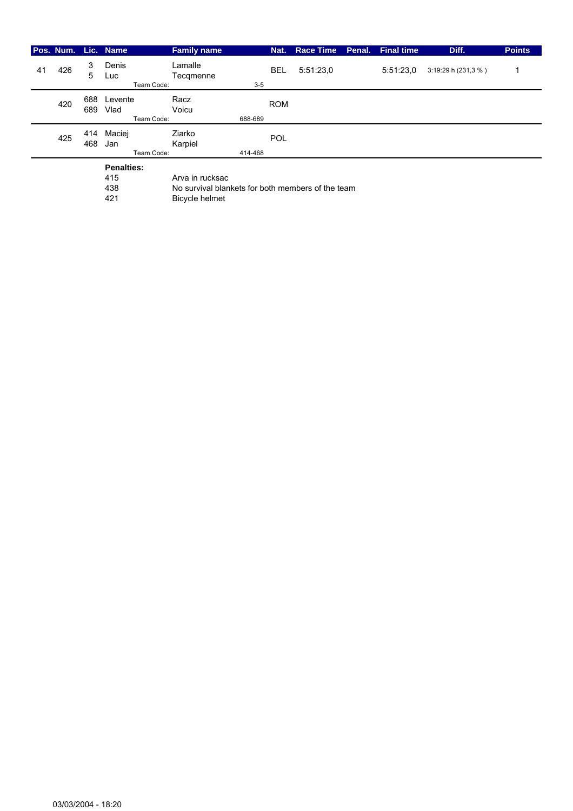|    |     |            | Pos. Num. Lic. Name           | <b>Family name</b>   |         | Nat.       | <b>Race Time</b> | Penal. | <b>Final time</b> | Diff.               | <b>Points</b> |
|----|-----|------------|-------------------------------|----------------------|---------|------------|------------------|--------|-------------------|---------------------|---------------|
| 41 | 426 | 3<br>5     | Denis<br>Luc<br>Team Code:    | Lamalle<br>Tecqmenne | $3 - 5$ | <b>BEL</b> | 5:51:23,0        |        | 5:51:23.0         | 3:19:29 h (231,3 %) |               |
|    | 420 | 688<br>689 | Levente<br>Vlad<br>Team Code: | Racz<br>Voicu        | 688-689 | <b>ROM</b> |                  |        |                   |                     |               |
|    | 425 | 414<br>468 | Maciej<br>Jan<br>Team Code:   | Ziarko<br>Karpiel    | 414-468 | POL        |                  |        |                   |                     |               |
|    |     |            | <b>Penalties:</b><br>415      | Arva in rucksac      |         |            |                  |        |                   |                     |               |

438 No survival blankets for both members of the team<br>421 Bicycle helmet

Bicycle helmet